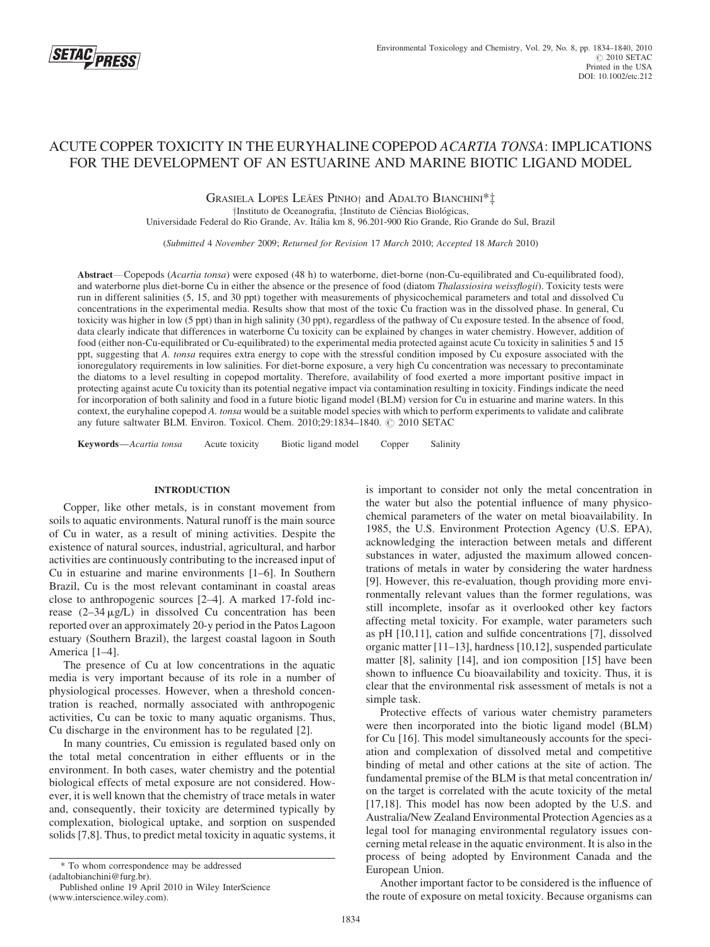

# ACUTE COPPER TOXICITY IN THE EURYHALINE COPEPOD ACARTIA TONSA: IMPLICATIONS FOR THE DEVELOPMENT OF AN ESTUARINE AND MARINE BIOTIC LIGAND MODEL

GRASIELA LOPES LEÃES PINHO† and ADALTO BIANCHINI\*<sup>†</sup> †Instituto de Oceanografia, ‡Instituto de Ciências Biológicas,

Universidade Federal do Rio Grande, Av. Itália km 8, 96.201-900 Rio Grande, Rio Grande do Sul, Brazil

(Submitted 4 November 2009; Returned for Revision 17 March 2010; Accepted 18 March 2010)

Abstract—Copepods (Acartia tonsa) were exposed (48 h) to waterborne, diet-borne (non-Cu-equilibrated and Cu-equilibrated food), and waterborne plus diet-borne Cu in either the absence or the presence of food (diatom Thalassiosira weissflogii). Toxicity tests were run in different salinities (5, 15, and 30 ppt) together with measurements of physicochemical parameters and total and dissolved Cu concentrations in the experimental media. Results show that most of the toxic Cu fraction was in the dissolved phase. In general, Cu toxicity was higher in low (5 ppt) than in high salinity (30 ppt), regardless of the pathway of Cu exposure tested. In the absence of food, data clearly indicate that differences in waterborne Cu toxicity can be explained by changes in water chemistry. However, addition of food (either non-Cu-equilibrated or Cu-equilibrated) to the experimental media protected against acute Cu toxicity in salinities 5 and 15 ppt, suggesting that A. tonsa requires extra energy to cope with the stressful condition imposed by Cu exposure associated with the ionoregulatory requirements in low salinities. For diet-borne exposure, a very high Cu concentration was necessary to precontaminate the diatoms to a level resulting in copepod mortality. Therefore, availability of food exerted a more important positive impact in protecting against acute Cu toxicity than its potential negative impact via contamination resulting in toxicity. Findings indicate the need for incorporation of both salinity and food in a future biotic ligand model (BLM) version for Cu in estuarine and marine waters. In this context, the euryhaline copepod A. tonsa would be a suitable model species with which to perform experiments to validate and calibrate any future saltwater BLM. Environ. Toxicol. Chem. 2010;29:1834-1840. C 2010 SETAC

Keywords—Acartia tonsa Acute toxicity Biotic ligand model Copper Salinity

# INTRODUCTION

Copper, like other metals, is in constant movement from soils to aquatic environments. Natural runoff is the main source of Cu in water, as a result of mining activities. Despite the existence of natural sources, industrial, agricultural, and harbor activities are continuously contributing to the increased input of Cu in estuarine and marine environments [1–6]. In Southern Brazil, Cu is the most relevant contaminant in coastal areas close to anthropogenic sources [2–4]. A marked 17-fold increase  $(2-34 \mu g/L)$  in dissolved Cu concentration has been reported over an approximately 20-y period in the Patos Lagoon estuary (Southern Brazil), the largest coastal lagoon in South America [1–4].

The presence of Cu at low concentrations in the aquatic media is very important because of its role in a number of physiological processes. However, when a threshold concentration is reached, normally associated with anthropogenic activities, Cu can be toxic to many aquatic organisms. Thus, Cu discharge in the environment has to be regulated [2].

In many countries, Cu emission is regulated based only on the total metal concentration in either effluents or in the environment. In both cases, water chemistry and the potential biological effects of metal exposure are not considered. However, it is well known that the chemistry of trace metals in water and, consequently, their toxicity are determined typically by complexation, biological uptake, and sorption on suspended solids [7,8]. Thus, to predict metal toxicity in aquatic systems, it

is important to consider not only the metal concentration in the water but also the potential influence of many physicochemical parameters of the water on metal bioavailability. In 1985, the U.S. Environment Protection Agency (U.S. EPA), acknowledging the interaction between metals and different substances in water, adjusted the maximum allowed concentrations of metals in water by considering the water hardness [9]. However, this re-evaluation, though providing more environmentally relevant values than the former regulations, was still incomplete, insofar as it overlooked other key factors affecting metal toxicity. For example, water parameters such as pH [10,11], cation and sulfide concentrations [7], dissolved organic matter [11–13], hardness [10,12], suspended particulate matter [8], salinity [14], and ion composition [15] have been shown to influence Cu bioavailability and toxicity. Thus, it is clear that the environmental risk assessment of metals is not a simple task.

Protective effects of various water chemistry parameters were then incorporated into the biotic ligand model (BLM) for Cu [16]. This model simultaneously accounts for the speciation and complexation of dissolved metal and competitive binding of metal and other cations at the site of action. The fundamental premise of the BLM is that metal concentration in/ on the target is correlated with the acute toxicity of the metal [17,18]. This model has now been adopted by the U.S. and Australia/New Zealand Environmental Protection Agencies as a legal tool for managing environmental regulatory issues concerning metal release in the aquatic environment. It is also in the process of being adopted by Environment Canada and the European Union.

Another important factor to be considered is the influence of the route of exposure on metal toxicity. Because organisms can

<sup>\*</sup> To whom correspondence may be addressed

<sup>(</sup>adaltobianchini@furg.br).

Published online 19 April 2010 in Wiley InterScience (www.interscience.wiley.com).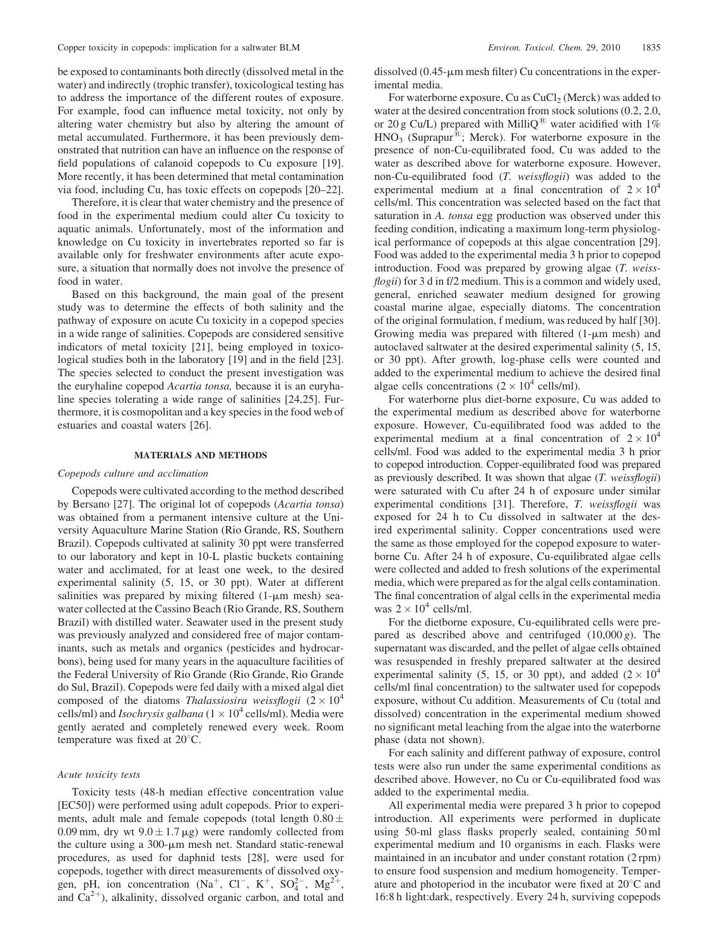be exposed to contaminants both directly (dissolved metal in the water) and indirectly (trophic transfer), toxicological testing has to address the importance of the different routes of exposure. For example, food can influence metal toxicity, not only by altering water chemistry but also by altering the amount of metal accumulated. Furthermore, it has been previously demonstrated that nutrition can have an influence on the response of field populations of calanoid copepods to Cu exposure [19]. More recently, it has been determined that metal contamination via food, including Cu, has toxic effects on copepods [20–22].

Therefore, it is clear that water chemistry and the presence of food in the experimental medium could alter Cu toxicity to aquatic animals. Unfortunately, most of the information and knowledge on Cu toxicity in invertebrates reported so far is available only for freshwater environments after acute exposure, a situation that normally does not involve the presence of food in water.

Based on this background, the main goal of the present study was to determine the effects of both salinity and the pathway of exposure on acute Cu toxicity in a copepod species in a wide range of salinities. Copepods are considered sensitive indicators of metal toxicity [21], being employed in toxicological studies both in the laboratory [19] and in the field [23]. The species selected to conduct the present investigation was the euryhaline copepod Acartia tonsa, because it is an euryhaline species tolerating a wide range of salinities [24,25]. Furthermore, it is cosmopolitan and a key species in the food web of estuaries and coastal waters [26].

#### MATERIALS AND METHODS

#### Copepods culture and acclimation

Copepods were cultivated according to the method described by Bersano [27]. The original lot of copepods (Acartia tonsa) was obtained from a permanent intensive culture at the University Aquaculture Marine Station (Rio Grande, RS, Southern Brazil). Copepods cultivated at salinity 30 ppt were transferred to our laboratory and kept in 10-L plastic buckets containing water and acclimated, for at least one week, to the desired experimental salinity (5, 15, or 30 ppt). Water at different salinities was prepared by mixing filtered  $(1-\mu m$  mesh) seawater collected at the Cassino Beach (Rio Grande, RS, Southern Brazil) with distilled water. Seawater used in the present study was previously analyzed and considered free of major contaminants, such as metals and organics (pesticides and hydrocarbons), being used for many years in the aquaculture facilities of the Federal University of Rio Grande (Rio Grande, Rio Grande do Sul, Brazil). Copepods were fed daily with a mixed algal diet composed of the diatoms *Thalassiosira weissflogii*  $(2 \times 10^4$ cells/ml) and *Isochrysis galbana* ( $1 \times 10^4$  cells/ml). Media were gently aerated and completely renewed every week. Room temperature was fixed at  $20^{\circ}$ C.

## Acute toxicity tests

Toxicity tests (48-h median effective concentration value [EC50]) were performed using adult copepods. Prior to experiments, adult male and female copepods (total length  $0.80 \pm$ 0.09 mm, dry wt  $9.0 \pm 1.7 \mu g$ ) were randomly collected from the culture using a  $300$ - $\mu$ m mesh net. Standard static-renewal procedures, as used for daphnid tests [28], were used for copepods, together with direct measurements of dissolved oxygen, pH, ion concentration (Na<sup>+</sup>, Cl<sup>-</sup>, K<sup>+</sup>, SO<sub>4</sub><sup>2</sup>-, Mg<sup>2+</sup>, and  $Ca^{2+}$ ), alkalinity, dissolved organic carbon, and total and

dissolved  $(0.45 \cdot \mu m$  mesh filter) Cu concentrations in the experimental media.

For waterborne exposure, Cu as  $CuCl<sub>2</sub>$  (Merck) was added to water at the desired concentration from stock solutions (0.2, 2.0, or 20 g Cu/L) prepared with MilliQ<sup>®</sup> water acidified with 1%  $HNO<sub>3</sub>$  (Suprapur<sup>®</sup>; Merck). For waterborne exposure in the presence of non-Cu-equilibrated food, Cu was added to the water as described above for waterborne exposure. However, non-Cu-equilibrated food (T. weissflogii) was added to the experimental medium at a final concentration of  $2 \times 10^4$ cells/ml. This concentration was selected based on the fact that saturation in A. tonsa egg production was observed under this feeding condition, indicating a maximum long-term physiological performance of copepods at this algae concentration [29]. Food was added to the experimental media 3 h prior to copepod introduction. Food was prepared by growing algae (T. weissflogii) for 3 d in f/2 medium. This is a common and widely used, general, enriched seawater medium designed for growing coastal marine algae, especially diatoms. The concentration of the original formulation, f medium, was reduced by half [30]. Growing media was prepared with filtered  $(1-\mu m$  mesh) and autoclaved saltwater at the desired experimental salinity (5, 15, or 30 ppt). After growth, log-phase cells were counted and added to the experimental medium to achieve the desired final algae cells concentrations  $(2 \times 10^4 \text{ cells/ml})$ .

For waterborne plus diet-borne exposure, Cu was added to the experimental medium as described above for waterborne exposure. However, Cu-equilibrated food was added to the experimental medium at a final concentration of  $2 \times 10^4$ cells/ml. Food was added to the experimental media 3 h prior to copepod introduction. Copper-equilibrated food was prepared as previously described. It was shown that algae  $(T. *weissflogii*)$ were saturated with Cu after 24 h of exposure under similar experimental conditions [31]. Therefore, T. weissflogii was exposed for 24 h to Cu dissolved in saltwater at the desired experimental salinity. Copper concentrations used were the same as those employed for the copepod exposure to waterborne Cu. After 24 h of exposure, Cu-equilibrated algae cells were collected and added to fresh solutions of the experimental media, which were prepared as for the algal cells contamination. The final concentration of algal cells in the experimental media was  $2 \times 10^4$  cells/ml.

For the dietborne exposure, Cu-equilibrated cells were prepared as described above and centrifuged  $(10,000 g)$ . The supernatant was discarded, and the pellet of algae cells obtained was resuspended in freshly prepared saltwater at the desired experimental salinity (5, 15, or 30 ppt), and added  $(2 \times 10^4)$ cells/ml final concentration) to the saltwater used for copepods exposure, without Cu addition. Measurements of Cu (total and dissolved) concentration in the experimental medium showed no significant metal leaching from the algae into the waterborne phase (data not shown).

For each salinity and different pathway of exposure, control tests were also run under the same experimental conditions as described above. However, no Cu or Cu-equilibrated food was added to the experimental media.

All experimental media were prepared 3 h prior to copepod introduction. All experiments were performed in duplicate using 50-ml glass flasks properly sealed, containing 50 ml experimental medium and 10 organisms in each. Flasks were maintained in an incubator and under constant rotation (2 rpm) to ensure food suspension and medium homogeneity. Temperature and photoperiod in the incubator were fixed at  $20^{\circ}$ C and 16:8 h light:dark, respectively. Every 24 h, surviving copepods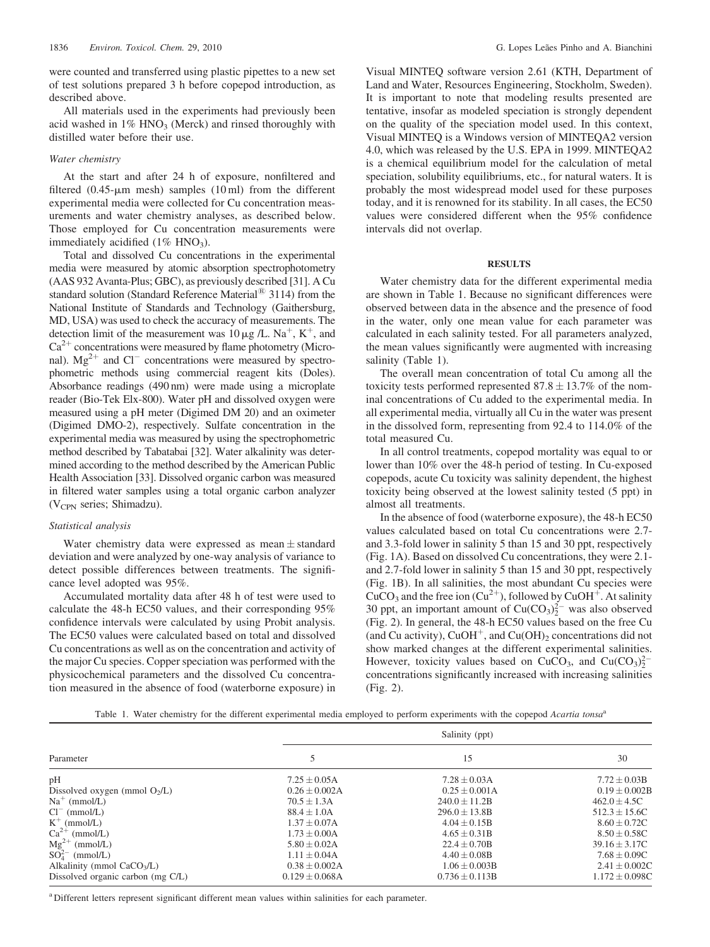were counted and transferred using plastic pipettes to a new set of test solutions prepared 3 h before copepod introduction, as described above.

All materials used in the experiments had previously been acid washed in  $1\%$  HNO<sub>3</sub> (Merck) and rinsed thoroughly with distilled water before their use.

## Water chemistry

At the start and after 24 h of exposure, nonfiltered and filtered  $(0.45 \text{-} \mu \text{m} \text{ mesh})$  samples  $(10 \text{ ml})$  from the different experimental media were collected for Cu concentration measurements and water chemistry analyses, as described below. Those employed for Cu concentration measurements were immediately acidified  $(1\% \text{ HNO}_3)$ .

Total and dissolved Cu concentrations in the experimental media were measured by atomic absorption spectrophotometry (AAS 932 Avanta-Plus; GBC), as previously described [31]. A Cu standard solution (Standard Reference Material $^{(8)}$  3114) from the National Institute of Standards and Technology (Gaithersburg, MD, USA) was used to check the accuracy of measurements. The detection limit of the measurement was 10  $\mu$ g /L. Na<sup>+</sup>, K<sup>+</sup>, and  $Ca<sup>2+</sup>$  concentrations were measured by flame photometry (Micronal).  $Mg^{2+}$  and Cl<sup>-</sup> concentrations were measured by spectrophometric methods using commercial reagent kits (Doles). Absorbance readings (490 nm) were made using a microplate reader (Bio-Tek Elx-800). Water pH and dissolved oxygen were measured using a pH meter (Digimed DM 20) and an oximeter (Digimed DMO-2), respectively. Sulfate concentration in the experimental media was measured by using the spectrophometric method described by Tabatabai [32]. Water alkalinity was determined according to the method described by the American Public Health Association [33]. Dissolved organic carbon was measured in filtered water samples using a total organic carbon analyzer  $(V<sub>CPN</sub>$  series; Shimadzu).

## Statistical analysis

Water chemistry data were expressed as mean  $\pm$  standard deviation and were analyzed by one-way analysis of variance to detect possible differences between treatments. The significance level adopted was 95%.

Accumulated mortality data after 48 h of test were used to calculate the 48-h EC50 values, and their corresponding 95% confidence intervals were calculated by using Probit analysis. The EC50 values were calculated based on total and dissolved Cu concentrations as well as on the concentration and activity of the major Cu species. Copper speciation was performed with the physicochemical parameters and the dissolved Cu concentration measured in the absence of food (waterborne exposure) in

Visual MINTEQ software version 2.61 (KTH, Department of Land and Water, Resources Engineering, Stockholm, Sweden). It is important to note that modeling results presented are tentative, insofar as modeled speciation is strongly dependent on the quality of the speciation model used. In this context, Visual MINTEQ is a Windows version of MINTEQA2 version 4.0, which was released by the U.S. EPA in 1999. MINTEQA2 is a chemical equilibrium model for the calculation of metal speciation, solubility equilibriums, etc., for natural waters. It is probably the most widespread model used for these purposes today, and it is renowned for its stability. In all cases, the EC50 values were considered different when the 95% confidence intervals did not overlap.

## **RESULTS**

Water chemistry data for the different experimental media are shown in Table 1. Because no significant differences were observed between data in the absence and the presence of food in the water, only one mean value for each parameter was calculated in each salinity tested. For all parameters analyzed, the mean values significantly were augmented with increasing salinity (Table 1).

The overall mean concentration of total Cu among all the toxicity tests performed represented  $87.8 \pm 13.7\%$  of the nominal concentrations of Cu added to the experimental media. In all experimental media, virtually all Cu in the water was present in the dissolved form, representing from 92.4 to 114.0% of the total measured Cu.

In all control treatments, copepod mortality was equal to or lower than 10% over the 48-h period of testing. In Cu-exposed copepods, acute Cu toxicity was salinity dependent, the highest toxicity being observed at the lowest salinity tested (5 ppt) in almost all treatments.

In the absence of food (waterborne exposure), the 48-h EC50 values calculated based on total Cu concentrations were 2.7 and 3.3-fold lower in salinity 5 than 15 and 30 ppt, respectively (Fig. 1A). Based on dissolved Cu concentrations, they were 2.1 and 2.7-fold lower in salinity 5 than 15 and 30 ppt, respectively (Fig. 1B). In all salinities, the most abundant Cu species were CuCO<sub>3</sub> and the free ion  $(Cu^{2+})$ , followed by CuOH<sup>+</sup>. At salinity 30 ppt, an important amount of  $Cu(CO<sub>3</sub>)<sub>2</sub><sup>2</sup>$  was also observed (Fig. 2). In general, the 48-h EC50 values based on the free Cu (and Cu activity), CuOH<sup>+</sup>, and Cu(OH)<sub>2</sub> concentrations did not show marked changes at the different experimental salinities. However, toxicity values based on CuCO<sub>3</sub>, and Cu(CO<sub>3</sub>)<sup>2</sup><sup>-</sup> concentrations significantly increased with increasing salinities (Fig. 2).

Table 1. Water chemistry for the different experimental media employed to perform experiments with the copepod Acartia tonsa<sup>a</sup>

| Parameter                         | Salinity (ppt)      |                    |                    |
|-----------------------------------|---------------------|--------------------|--------------------|
|                                   |                     | 15                 | 30                 |
| pH                                | $7.25 \pm 0.05$ A   | $7.28 \pm 0.03$ A  | $7.72 \pm 0.03B$   |
| Dissolved oxygen (mmol $O_2/L$ )  | $0.26 \pm 0.002$ A  | $0.25 \pm 0.001$ A | $0.19 \pm 0.002B$  |
| $Na^+$ (mmol/L)                   | $70.5 \pm 1.3$ A    | $240.0 + 11.2B$    | $462.0 \pm 4.5C$   |
| $Cl^{-}$ (mmol/L)                 | $88.4 \pm 1.0$ A    | $296.0 \pm 13.8B$  | $512.3 \pm 15.6C$  |
| $K^+$ (mmol/L)                    | $1.37 \pm 0.07$ A   | $4.04 + 0.15B$     | $8.60 + 0.72C$     |
| $Ca^{2+}$ (mmol/L)                | $1.73 \pm 0.00A$    | $4.65 \pm 0.31B$   | $8.50 \pm 0.58$ C  |
| $Mg^{2+}$ (mmol/L)                | $5.80 \pm 0.02$ A   | $22.4 \pm 0.70B$   | $39.16 \pm 3.17C$  |
| $SO42-$ (mmol/L)                  | $1.11 \pm 0.04$ A   | $4.40 \pm 0.08B$   | $7.68 \pm 0.09C$   |
| Alkalinity (mmol $CaCO3/L$ )      | $0.38 \pm 0.002$ A  | $1.06 \pm 0.003B$  | $2.41 \pm 0.002C$  |
| Dissolved organic carbon (mg C/L) | $0.129 \pm 0.068$ A | $0.736 \pm 0.113B$ | $1.172 \pm 0.098C$ |

<sup>a</sup> Different letters represent significant different mean values within salinities for each parameter.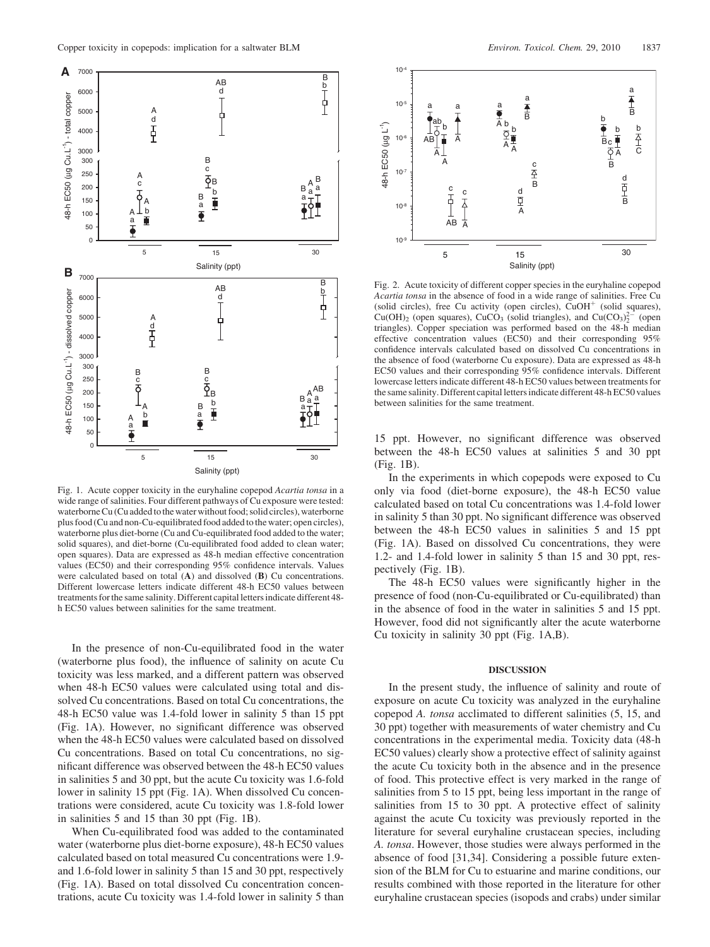

Fig. 1. Acute copper toxicity in the euryhaline copepod Acartia tonsa in a wide range of salinities. Four different pathways of Cu exposure were tested: waterborne Cu (Cu added to the water without food; solid circles), waterborne plus food (Cu and non-Cu-equilibrated food added to the water; open circles), waterborne plus diet-borne (Cu and Cu-equilibrated food added to the water; solid squares), and diet-borne (Cu-equilibrated food added to clean water; open squares). Data are expressed as 48-h median effective concentration values (EC50) and their corresponding 95% confidence intervals. Values were calculated based on total (A) and dissolved (B) Cu concentrations. Different lowercase letters indicate different 48-h EC50 values between treatments for the same salinity. Different capital letters indicate different 48 h EC50 values between salinities for the same treatment.

In the presence of non-Cu-equilibrated food in the water (waterborne plus food), the influence of salinity on acute Cu toxicity was less marked, and a different pattern was observed when 48-h EC50 values were calculated using total and dissolved Cu concentrations. Based on total Cu concentrations, the 48-h EC50 value was 1.4-fold lower in salinity 5 than 15 ppt (Fig. 1A). However, no significant difference was observed when the 48-h EC50 values were calculated based on dissolved Cu concentrations. Based on total Cu concentrations, no significant difference was observed between the 48-h EC50 values in salinities 5 and 30 ppt, but the acute Cu toxicity was 1.6-fold lower in salinity 15 ppt (Fig. 1A). When dissolved Cu concentrations were considered, acute Cu toxicity was 1.8-fold lower in salinities 5 and 15 than 30 ppt (Fig. 1B).

When Cu-equilibrated food was added to the contaminated water (waterborne plus diet-borne exposure), 48-h EC50 values calculated based on total measured Cu concentrations were 1.9 and 1.6-fold lower in salinity 5 than 15 and 30 ppt, respectively (Fig. 1A). Based on total dissolved Cu concentration concentrations, acute Cu toxicity was 1.4-fold lower in salinity 5 than



Fig. 2. Acute toxicity of different copper species in the euryhaline copepod Acartia tonsa in the absence of food in a wide range of salinities. Free Cu (solid circles), free Cu activity (open circles),  $CuOH<sup>+</sup>$  (solid squares),  $Cu(OH)_2$  (open squares),  $CuCO_3$  (solid triangles), and  $Cu(CO_3)_2^{2-}$  (open triangles). Copper speciation was performed based on the 48-h median effective concentration values (EC50) and their corresponding 95% confidence intervals calculated based on dissolved Cu concentrations in the absence of food (waterborne Cu exposure). Data are expressed as 48-h EC50 values and their corresponding 95% confidence intervals. Different lowercase letters indicate different 48-h EC50 values between treatments for the same salinity. Different capital letters indicate different 48-h EC50 values between salinities for the same treatment.

15 ppt. However, no significant difference was observed between the 48-h EC50 values at salinities 5 and 30 ppt (Fig. 1B).

In the experiments in which copepods were exposed to Cu only via food (diet-borne exposure), the 48-h EC50 value calculated based on total Cu concentrations was 1.4-fold lower in salinity 5 than 30 ppt. No significant difference was observed between the 48-h EC50 values in salinities 5 and 15 ppt (Fig. 1A). Based on dissolved Cu concentrations, they were 1.2- and 1.4-fold lower in salinity 5 than 15 and 30 ppt, respectively (Fig. 1B).

The 48-h EC50 values were significantly higher in the presence of food (non-Cu-equilibrated or Cu-equilibrated) than in the absence of food in the water in salinities 5 and 15 ppt. However, food did not significantly alter the acute waterborne Cu toxicity in salinity 30 ppt (Fig. 1A,B).

# DISCUSSION

In the present study, the influence of salinity and route of exposure on acute Cu toxicity was analyzed in the euryhaline copepod A. tonsa acclimated to different salinities (5, 15, and 30 ppt) together with measurements of water chemistry and Cu concentrations in the experimental media. Toxicity data (48-h EC50 values) clearly show a protective effect of salinity against the acute Cu toxicity both in the absence and in the presence of food. This protective effect is very marked in the range of salinities from 5 to 15 ppt, being less important in the range of salinities from 15 to 30 ppt. A protective effect of salinity against the acute Cu toxicity was previously reported in the literature for several euryhaline crustacean species, including A. tonsa. However, those studies were always performed in the absence of food [31,34]. Considering a possible future extension of the BLM for Cu to estuarine and marine conditions, our results combined with those reported in the literature for other euryhaline crustacean species (isopods and crabs) under similar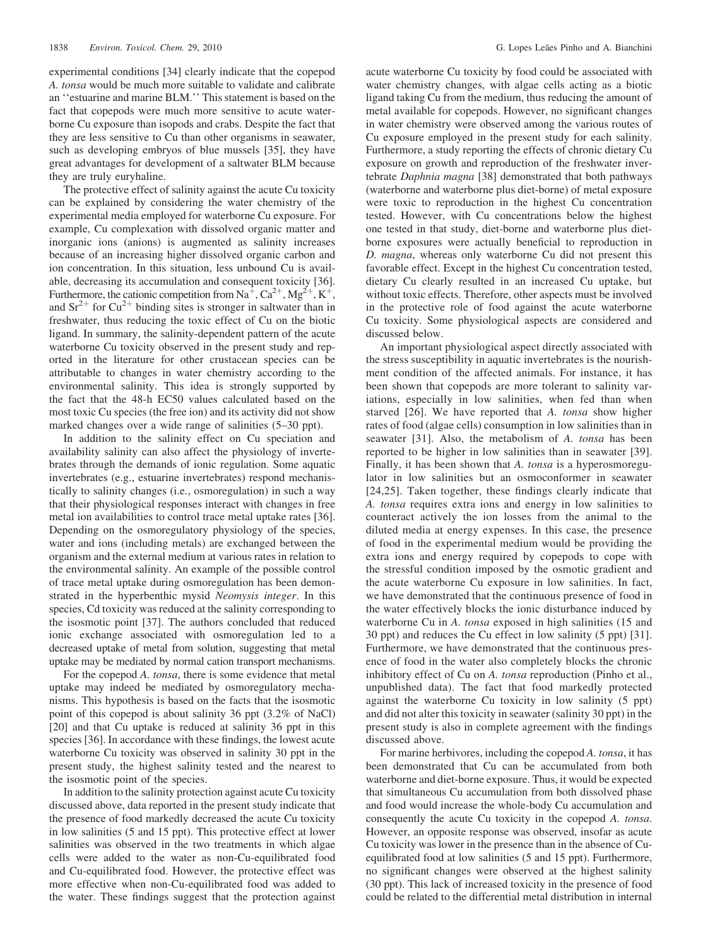experimental conditions [34] clearly indicate that the copepod A. tonsa would be much more suitable to validate and calibrate an ''estuarine and marine BLM.'' This statement is based on the fact that copepods were much more sensitive to acute waterborne Cu exposure than isopods and crabs. Despite the fact that they are less sensitive to Cu than other organisms in seawater, such as developing embryos of blue mussels [35], they have great advantages for development of a saltwater BLM because they are truly euryhaline.

The protective effect of salinity against the acute Cu toxicity can be explained by considering the water chemistry of the experimental media employed for waterborne Cu exposure. For example, Cu complexation with dissolved organic matter and inorganic ions (anions) is augmented as salinity increases because of an increasing higher dissolved organic carbon and ion concentration. In this situation, less unbound Cu is available, decreasing its accumulation and consequent toxicity [36]. Furthermore, the cationic competition from Na<sup>+</sup>, Ca<sup>2+</sup>, Mg<sup>2+</sup>, K<sup>+</sup>, and  $Sr^{2+}$  for Cu<sup>2+</sup> binding sites is stronger in saltwater than in freshwater, thus reducing the toxic effect of Cu on the biotic ligand. In summary, the salinity-dependent pattern of the acute waterborne Cu toxicity observed in the present study and reported in the literature for other crustacean species can be attributable to changes in water chemistry according to the environmental salinity. This idea is strongly supported by the fact that the 48-h EC50 values calculated based on the most toxic Cu species (the free ion) and its activity did not show marked changes over a wide range of salinities (5–30 ppt).

In addition to the salinity effect on Cu speciation and availability salinity can also affect the physiology of invertebrates through the demands of ionic regulation. Some aquatic invertebrates (e.g., estuarine invertebrates) respond mechanistically to salinity changes (i.e., osmoregulation) in such a way that their physiological responses interact with changes in free metal ion availabilities to control trace metal uptake rates [36]. Depending on the osmoregulatory physiology of the species, water and ions (including metals) are exchanged between the organism and the external medium at various rates in relation to the environmental salinity. An example of the possible control of trace metal uptake during osmoregulation has been demonstrated in the hyperbenthic mysid Neomysis integer. In this species, Cd toxicity was reduced at the salinity corresponding to the isosmotic point [37]. The authors concluded that reduced ionic exchange associated with osmoregulation led to a decreased uptake of metal from solution, suggesting that metal uptake may be mediated by normal cation transport mechanisms.

For the copepod A. tonsa, there is some evidence that metal uptake may indeed be mediated by osmoregulatory mechanisms. This hypothesis is based on the facts that the isosmotic point of this copepod is about salinity 36 ppt (3.2% of NaCl) [20] and that Cu uptake is reduced at salinity 36 ppt in this species [36]. In accordance with these findings, the lowest acute waterborne Cu toxicity was observed in salinity 30 ppt in the present study, the highest salinity tested and the nearest to the isosmotic point of the species.

In addition to the salinity protection against acute Cu toxicity discussed above, data reported in the present study indicate that the presence of food markedly decreased the acute Cu toxicity in low salinities (5 and 15 ppt). This protective effect at lower salinities was observed in the two treatments in which algae cells were added to the water as non-Cu-equilibrated food and Cu-equilibrated food. However, the protective effect was more effective when non-Cu-equilibrated food was added to the water. These findings suggest that the protection against

acute waterborne Cu toxicity by food could be associated with water chemistry changes, with algae cells acting as a biotic ligand taking Cu from the medium, thus reducing the amount of metal available for copepods. However, no significant changes in water chemistry were observed among the various routes of Cu exposure employed in the present study for each salinity. Furthermore, a study reporting the effects of chronic dietary Cu exposure on growth and reproduction of the freshwater invertebrate Daphnia magna [38] demonstrated that both pathways (waterborne and waterborne plus diet-borne) of metal exposure were toxic to reproduction in the highest Cu concentration tested. However, with Cu concentrations below the highest one tested in that study, diet-borne and waterborne plus dietborne exposures were actually beneficial to reproduction in D. magna, whereas only waterborne Cu did not present this favorable effect. Except in the highest Cu concentration tested, dietary Cu clearly resulted in an increased Cu uptake, but without toxic effects. Therefore, other aspects must be involved in the protective role of food against the acute waterborne Cu toxicity. Some physiological aspects are considered and discussed below.

An important physiological aspect directly associated with the stress susceptibility in aquatic invertebrates is the nourishment condition of the affected animals. For instance, it has been shown that copepods are more tolerant to salinity variations, especially in low salinities, when fed than when starved [26]. We have reported that A. tonsa show higher rates of food (algae cells) consumption in low salinities than in seawater [31]. Also, the metabolism of A. tonsa has been reported to be higher in low salinities than in seawater [39]. Finally, it has been shown that A. tonsa is a hyperosmoregulator in low salinities but an osmoconformer in seawater [24,25]. Taken together, these findings clearly indicate that A. tonsa requires extra ions and energy in low salinities to counteract actively the ion losses from the animal to the diluted media at energy expenses. In this case, the presence of food in the experimental medium would be providing the extra ions and energy required by copepods to cope with the stressful condition imposed by the osmotic gradient and the acute waterborne Cu exposure in low salinities. In fact, we have demonstrated that the continuous presence of food in the water effectively blocks the ionic disturbance induced by waterborne Cu in A. tonsa exposed in high salinities (15 and 30 ppt) and reduces the Cu effect in low salinity (5 ppt) [31]. Furthermore, we have demonstrated that the continuous presence of food in the water also completely blocks the chronic inhibitory effect of Cu on A. *tonsa* reproduction (Pinho et al., unpublished data). The fact that food markedly protected against the waterborne Cu toxicity in low salinity (5 ppt) and did not alter this toxicity in seawater (salinity 30 ppt) in the present study is also in complete agreement with the findings discussed above.

For marine herbivores, including the copepod A. tonsa, it has been demonstrated that Cu can be accumulated from both waterborne and diet-borne exposure. Thus, it would be expected that simultaneous Cu accumulation from both dissolved phase and food would increase the whole-body Cu accumulation and consequently the acute Cu toxicity in the copepod A. tonsa. However, an opposite response was observed, insofar as acute Cu toxicity was lower in the presence than in the absence of Cuequilibrated food at low salinities (5 and 15 ppt). Furthermore, no significant changes were observed at the highest salinity (30 ppt). This lack of increased toxicity in the presence of food could be related to the differential metal distribution in internal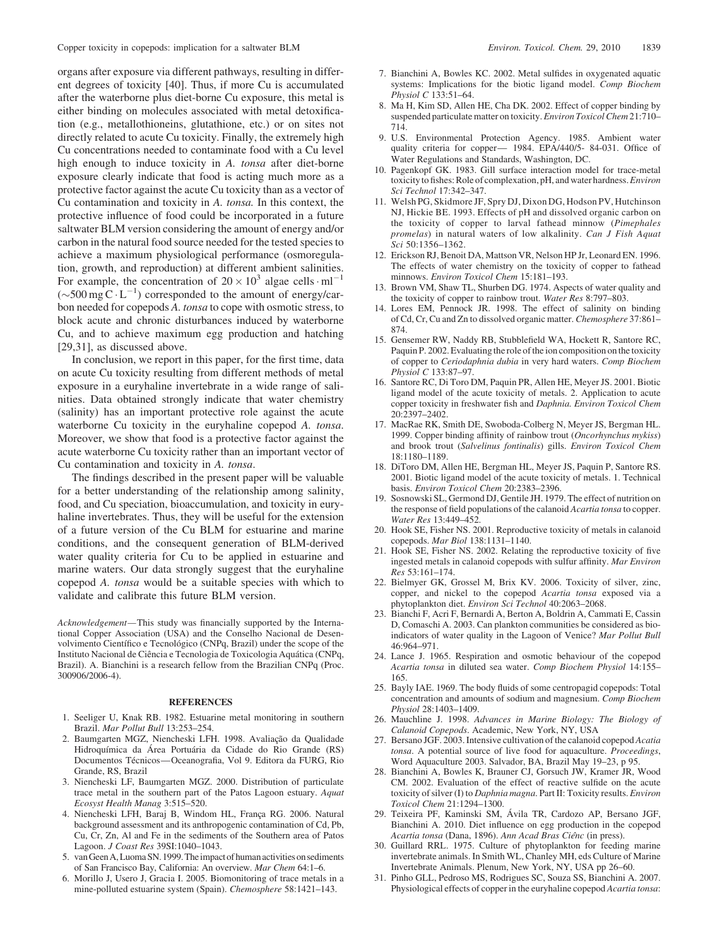organs after exposure via different pathways, resulting in different degrees of toxicity [40]. Thus, if more Cu is accumulated after the waterborne plus diet-borne Cu exposure, this metal is either binding on molecules associated with metal detoxification (e.g., metallothioneins, glutathione, etc.) or on sites not directly related to acute Cu toxicity. Finally, the extremely high Cu concentrations needed to contaminate food with a Cu level high enough to induce toxicity in A. tonsa after diet-borne exposure clearly indicate that food is acting much more as a protective factor against the acute Cu toxicity than as a vector of Cu contamination and toxicity in A. tonsa. In this context, the protective influence of food could be incorporated in a future saltwater BLM version considering the amount of energy and/or carbon in the natural food source needed for the tested species to achieve a maximum physiological performance (osmoregulation, growth, and reproduction) at different ambient salinities. For example, the concentration of  $20 \times 10^3$  algae cells  $\cdot$  ml<sup>-1</sup>  $(\sim 500 \text{ mg C} \cdot \text{L}^{-1})$  corresponded to the amount of energy/carbon needed for copepods A. tonsa to cope with osmotic stress, to block acute and chronic disturbances induced by waterborne Cu, and to achieve maximum egg production and hatching [29,31], as discussed above.

In conclusion, we report in this paper, for the first time, data on acute Cu toxicity resulting from different methods of metal exposure in a euryhaline invertebrate in a wide range of salinities. Data obtained strongly indicate that water chemistry (salinity) has an important protective role against the acute waterborne Cu toxicity in the euryhaline copepod A. tonsa. Moreover, we show that food is a protective factor against the acute waterborne Cu toxicity rather than an important vector of Cu contamination and toxicity in A. tonsa.

The findings described in the present paper will be valuable for a better understanding of the relationship among salinity, food, and Cu speciation, bioaccumulation, and toxicity in euryhaline invertebrates. Thus, they will be useful for the extension of a future version of the Cu BLM for estuarine and marine conditions, and the consequent generation of BLM-derived water quality criteria for Cu to be applied in estuarine and marine waters. Our data strongly suggest that the euryhaline copepod A. tonsa would be a suitable species with which to validate and calibrate this future BLM version.

Acknowledgement—This study was financially supported by the International Copper Association (USA) and the Conselho Nacional de Desenvolvimento Científico e Tecnológico (CNPq, Brazil) under the scope of the Instituto Nacional de Ciência e Tecnologia de Toxicologia Aquática (CNPq, Brazil). A. Bianchini is a research fellow from the Brazilian CNPq (Proc. 300906/2006-4).

#### **REFERENCES**

- 1. Seeliger U, Knak RB. 1982. Estuarine metal monitoring in southern Brazil. Mar Pollut Bull 13:253–254.
- 2. Baumgarten MGZ, Niencheski LFH. 1998. Avaliação da Qualidade Hidroquímica da Área Portuária da Cidade do Rio Grande (RS) Documentos Técnicos—Oceanografia, Vol 9. Editora da FURG, Rio Grande, RS, Brazil
- 3. Niencheski LF, Baumgarten MGZ. 2000. Distribution of particulate trace metal in the southern part of the Patos Lagoon estuary. Aquat Ecosyst Health Manag 3:515–520.
- 4. Niencheski LFH, Baraj B, Windom HL, França RG. 2006. Natural background assessment and its anthropogenic contamination of Cd, Pb, Cu, Cr, Zn, Al and Fe in the sediments of the Southern area of Patos Lagoon. J Coast Res 39SI:1040–1043.
- 5. vanGeenA,LuomaSN.1999.Theimpactofhumanactivitiesonsediments of San Francisco Bay, California: An overview. Mar Chem 64:1–6.
- 6. Morillo J, Usero J, Gracia I. 2005. Biomonitoring of trace metals in a mine-polluted estuarine system (Spain). Chemosphere 58:1421–143.
- 7. Bianchini A, Bowles KC. 2002. Metal sulfides in oxygenated aquatic systems: Implications for the biotic ligand model. Comp Biochem Physiol C 133:51–64.
- 8. Ma H, Kim SD, Allen HE, Cha DK. 2002. Effect of copper binding by suspended particulate matter on toxicity.Environ Toxicol Chem 21:710– 714.
- 9. U.S. Environmental Protection Agency. 1985. Ambient water quality criteria for copper— 1984. EPA/440/5- 84-031. Office of Water Regulations and Standards, Washington, DC.
- 10. Pagenkopf GK. 1983. Gill surface interaction model for trace-metal toxicity to fishes: Role of complexation, pH, and water hardness. Environ Sci Technol 17:342–347.
- 11. Welsh PG, Skidmore JF, Spry DJ, Dixon DG, Hodson PV, Hutchinson NJ, Hickie BE. 1993. Effects of pH and dissolved organic carbon on the toxicity of copper to larval fathead minnow (Pimephales promelas) in natural waters of low alkalinity. Can J Fish Aquat Sci 50:1356–1362.
- 12. Erickson RJ, Benoit DA, Mattson VR, Nelson HP Jr, Leonard EN. 1996. The effects of water chemistry on the toxicity of copper to fathead minnows. Environ Toxicol Chem 15:181–193.
- 13. Brown VM, Shaw TL, Shurben DG. 1974. Aspects of water quality and the toxicity of copper to rainbow trout. Water Res 8:797–803.
- 14. Lores EM, Pennock JR. 1998. The effect of salinity on binding of Cd, Cr, Cu and Zn to dissolved organic matter. Chemosphere 37:861– 874.
- 15. Gensemer RW, Naddy RB, Stubblefield WA, Hockett R, Santore RC, Paquin P. 2002. Evaluating the role of the ion composition on the toxicity of copper to Ceriodaphnia dubia in very hard waters. Comp Biochem Physiol C 133:87–97.
- 16. Santore RC, Di Toro DM, Paquin PR, Allen HE, Meyer JS. 2001. Biotic ligand model of the acute toxicity of metals. 2. Application to acute copper toxicity in freshwater fish and Daphnia. Environ Toxicol Chem 20:2397–2402.
- 17. MacRae RK, Smith DE, Swoboda-Colberg N, Meyer JS, Bergman HL. 1999. Copper binding affinity of rainbow trout (Oncorhynchus mykiss) and brook trout (Salvelinus fontinalis) gills. Environ Toxicol Chem 18:1180–1189.
- 18. DiToro DM, Allen HE, Bergman HL, Meyer JS, Paquin P, Santore RS. 2001. Biotic ligand model of the acute toxicity of metals. 1. Technical basis. Environ Toxicol Chem 20:2383–2396.
- 19. Sosnowski SL, Germond DJ, Gentile JH. 1979. The effect of nutrition on the response of field populations of the calanoid Acartia tonsa to copper. Water Res 13:449–452.
- 20. Hook SE, Fisher NS. 2001. Reproductive toxicity of metals in calanoid copepods. Mar Biol 138:1131–1140.
- 21. Hook SE, Fisher NS. 2002. Relating the reproductive toxicity of five ingested metals in calanoid copepods with sulfur affinity. Mar Environ Res 53:161–174.
- 22. Bielmyer GK, Grossel M, Brix KV. 2006. Toxicity of silver, zinc, copper, and nickel to the copepod Acartia tonsa exposed via a phytoplankton diet. Environ Sci Technol 40:2063–2068.
- 23. Bianchi F, Acri F, Bernardi A, Berton A, Boldrin A, Cammati E, Cassin D, Comaschi A. 2003. Can plankton communities be considered as bioindicators of water quality in the Lagoon of Venice? Mar Pollut Bull 46:964–971.
- 24. Lance J. 1965. Respiration and osmotic behaviour of the copepod Acartia tonsa in diluted sea water. Comp Biochem Physiol 14:155– 165.
- 25. Bayly IAE. 1969. The body fluids of some centropagid copepods: Total concentration and amounts of sodium and magnesium. Comp Biochem Physiol 28:1403–1409.
- 26. Mauchline J. 1998. Advances in Marine Biology: The Biology of Calanoid Copepods. Academic, New York, NY, USA
- 27. Bersano JGF. 2003. Intensive cultivation of the calanoid copepod Acatia tonsa. A potential source of live food for aquaculture. Proceedings, Word Aquaculture 2003. Salvador, BA, Brazil May 19–23, p 95.
- 28. Bianchini A, Bowles K, Brauner CJ, Gorsuch JW, Kramer JR, Wood CM. 2002. Evaluation of the effect of reactive sulfide on the acute toxicity of silver (I) to Daphnia magna. Part II: Toxicity results. Environ Toxicol Chem 21:1294–1300.
- 29. Teixeira PF, Kaminski SM, Ávila TR, Cardozo AP, Bersano JGF, Bianchini A. 2010. Diet influence on egg production in the copepod Acartia tonsa (Dana, 1896). Ann Acad Bras Ciênc (in press).
- 30. Guillard RRL. 1975. Culture of phytoplankton for feeding marine invertebrate animals. In Smith WL, Chanley MH, eds Culture of Marine Invertebrate Animals. Plenum, New York, NY, USA pp 26–60.
- 31. Pinho GLL, Pedroso MS, Rodrigues SC, Souza SS, Bianchini A. 2007. Physiological effects of copper in the euryhaline copepod Acartia tonsa: